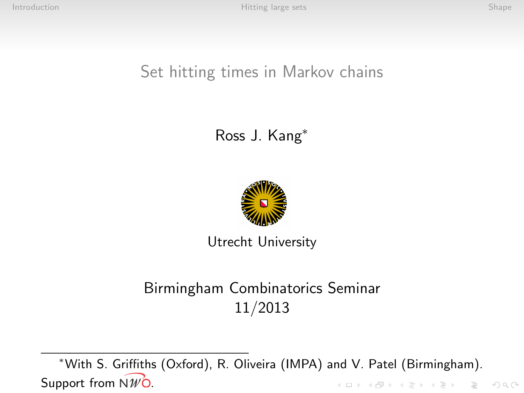### Set hitting times in Markov chains

### Ross J. Kang<sup>∗</sup>



Utrecht University

### Birmingham Combinatorics Seminar 11/2013

<sup>∗</sup>With S. Griffiths (Oxford), R. Oliveira (IMPA) and V. Patel (Birmingham). Support from  $\widehat{NWQ}$ . K ロ ▶ K 레 ▶ K 코 ▶ K 코 ▶ - 코 - Y 9 Q 0\*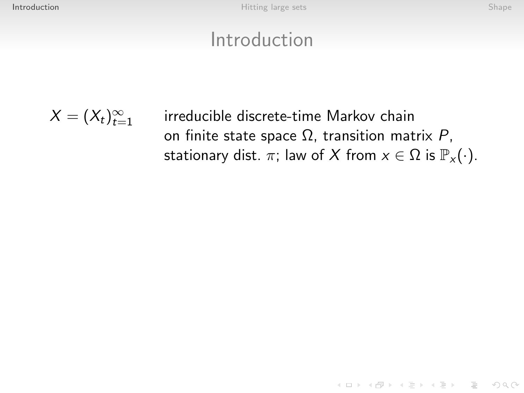K ロ ▶ K 레 ▶ K 코 ▶ K 코 ▶ - 코 - Y 9 Q 0\*

### Introduction

<span id="page-1-0"></span>
$$
X=(X_t)_{t=1}^\infty
$$

irreducible discrete-time Markov chain on finite state space  $Ω$ , transition matrix  $P$ , stationary dist.  $\pi$ ; law of X from  $x \in \Omega$  is  $\mathbb{P}_x(\cdot)$ .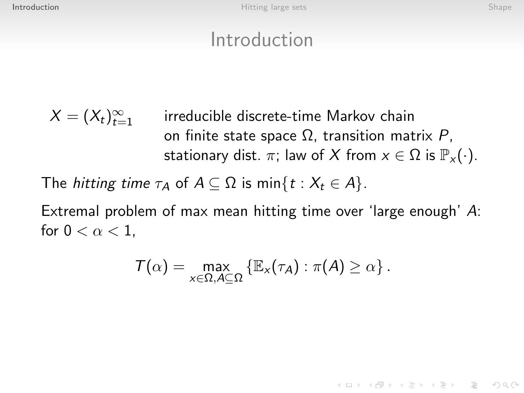**KED KARD KED KED E YOUR** 

### Introduction

$$
X = (X_t)_{t=1}^{\infty}
$$
 irreducible discrete-time Markov chain  
on finite state space  $\Omega$ , transition matrix  $P$ ,  
stationary dist.  $\pi$ ; law of X from  $x \in \Omega$  is  $\mathbb{P}_x(\cdot)$ .

The *hitting time*  $\tau_A$  of  $A \subseteq \Omega$  is min $\{t : X_t \in A\}$ .

Extremal problem of max mean hitting time over 'large enough' A: for  $0 < \alpha < 1$ ,

$$
\mathcal{T}(\alpha) = \max_{x \in \Omega, A \subseteq \Omega} \left\{ \mathbb{E}_x(\tau_A) : \pi(A) \ge \alpha \right\}.
$$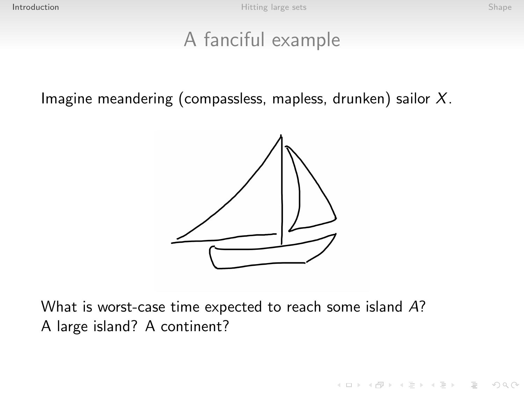### A fanciful example

Imagine meandering (compassless, mapless, drunken) sailor  $X$ .



<span id="page-3-0"></span>What is worst-case time expected to reach some island A? A large island? A continent?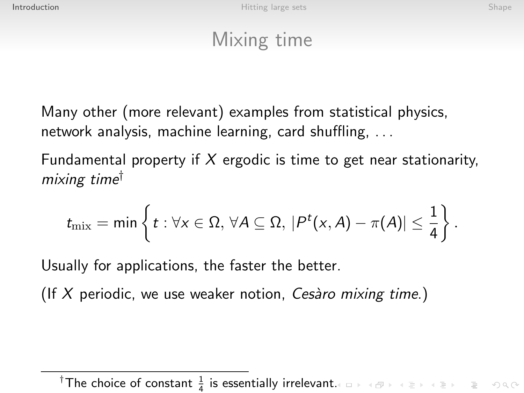## Mixing time

Many other (more relevant) examples from statistical physics, network analysis, machine learning, card shuffling, . . .

Fundamental property if X ergodic is time to get near stationarity, mixing time†

$$
t_{\text{mix}} = \min \left\{ t : \forall x \in \Omega, \, \forall A \subseteq \Omega, \, |P^t(x, A) - \pi(A)| \leq \frac{1}{4} \right\}.
$$

Usually for applications, the faster the better.

(If X periodic, we use weaker notion, Cesaro mixing time.)

<span id="page-4-0"></span><sup>&</sup>lt;sup>†</sup>The choice of constant  $\frac{1}{4}$  is essentially irrelevan[t.](#page-3-0)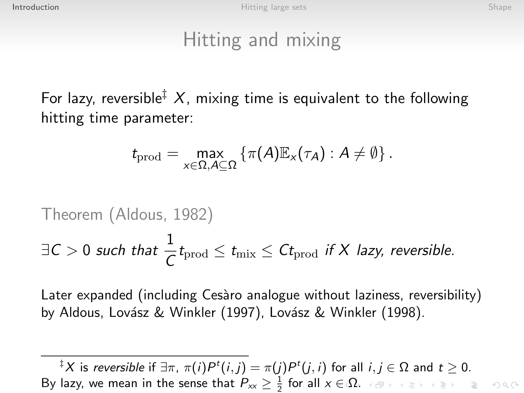# Hitting and mixing

For lazy, reversible<sup> $\ddagger$ </sup> X, mixing time is equivalent to the following hitting time parameter:

$$
t_{\text{prod}} = \max_{x \in \Omega, A \subseteq \Omega} \left\{ \pi(A) \mathbb{E}_x(\tau_A) : A \neq \emptyset \right\}.
$$

Theorem (Aldous, 1982)  
\n
$$
\exists C > 0 \text{ such that } \frac{1}{C}t_{\text{prod}} \le t_{\text{mix}} \le Ct_{\text{prod}} \text{ if } X \text{ lazy, reversible.}
$$

Later expanded (including Cesàro analogue without laziness, reversibility) by Aldous, Lovász & Winkler (1997), Lovász & Winkler (1998).

 ${}^{\ddagger}\mathsf{X}$  is *reversible* if  $\exists \pi, \, \pi(i) P^t(i,j) = \pi(j) P^t(j,i)$  for all  $i,j \in \Omega$  and  $t \geq 0.$ By lazy, we mean in the sense that  $P_{xx} \geq \frac{1}{2}$  for all  $x \in \Omega$ .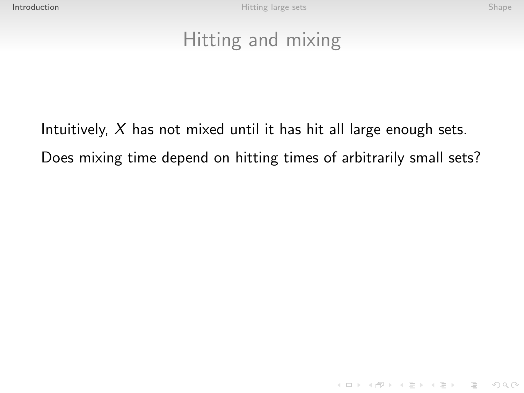K ロ ▶ K 레 ▶ K 코 ▶ K 코 ▶ | 코 | 2000

## Hitting and mixing

<span id="page-6-0"></span>Intuitively,  $X$  has not mixed until it has hit all large enough sets. Does mixing time depend on hitting times of arbitrarily small sets?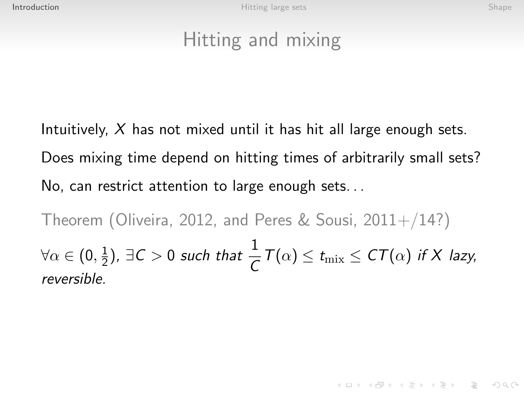# Hitting and mixing

Intuitively,  $X$  has not mixed until it has hit all large enough sets. Does mixing time depend on hitting times of arbitrarily small sets? No, can restrict attention to large enough sets. . .

Theorem (Oliveira, 2012, and Peres & Sousi,  $2011+/14$ ?)  $\forall \alpha \in (0, \frac{1}{2}$  $(\frac{1}{2})$ ,  $\exists C > 0$  such that  $\frac{1}{C}T(\alpha) \leq t_{\text{mix}} \leq C T(\alpha)$  if X lazy, reversible.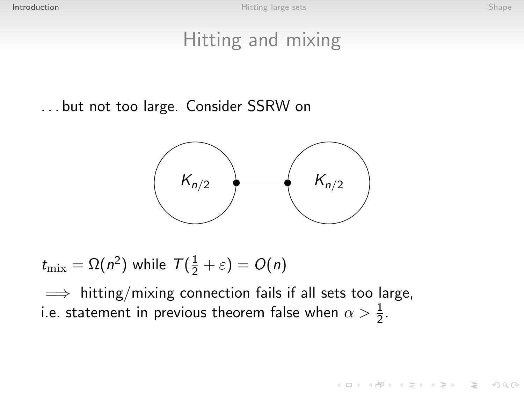## Hitting and mixing

. . . but not too large. Consider SSRW on



 $t_{\mathrm{mix}} = \Omega(n^2)$  while  $\mathcal{T}(\frac{1}{2} + \varepsilon) = O(n)$ 

 $\implies$  hitting/mixing connection fails if all sets too large, i.e. statement in previous theorem false when  $\alpha>\frac{1}{2}.$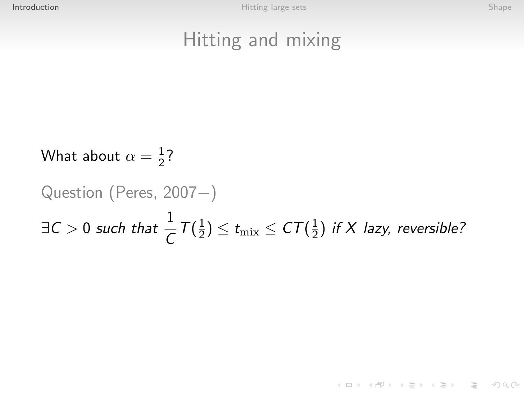KEEK (FER KER EI KORA)

## Hitting and mixing

What about  $\alpha=\frac{1}{2}$  $rac{1}{2}$ ?

### Question (Peres, 2007−)  $\exists C>0$  such that  $\frac{1}{C}\mathcal{T}(\frac{1}{2})$  $(\frac{1}{2}) \leq t_{\text{mix}} \leq \text{CT}(\frac{1}{2})$  $\frac{1}{2}$ ) if X lazy, reversible?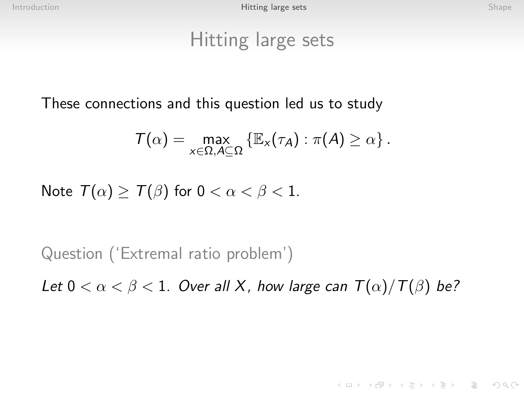### Hitting large sets

These connections and this question led us to study

$$
\mathcal{T}(\alpha) = \max_{x \in \Omega, A \subseteq \Omega} \{ \mathbb{E}_x(\tau_A) : \pi(A) \ge \alpha \}.
$$

Note  $T(\alpha) \geq T(\beta)$  for  $0 < \alpha < \beta < 1$ .

Question ('Extremal ratio problem')

<span id="page-10-0"></span>Let  $0 < \alpha < \beta < 1$ . Over all X, how large can  $T(\alpha)/T(\beta)$  be?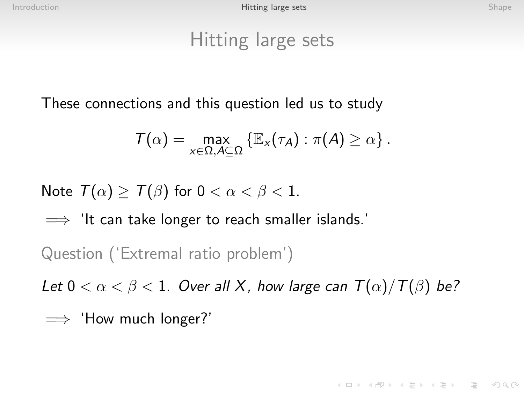### Hitting large sets

These connections and this question led us to study

$$
\mathcal{T}(\alpha) = \max_{x \in \Omega, A \subseteq \Omega} \left\{ \mathbb{E}_x(\tau_A) : \pi(A) \ge \alpha \right\}.
$$

Note  $T(\alpha) \geq T(\beta)$  for  $0 < \alpha < \beta < 1$ .

 $\implies$  'It can take longer to reach smaller islands.'

Question ('Extremal ratio problem')

Let  $0 < \alpha < \beta < 1$ . Over all X, how large can  $T(\alpha)/T(\beta)$  be?

=⇒ 'How much longer?'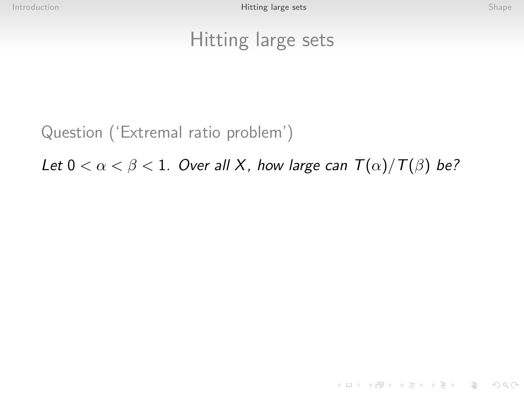**KED KARD KED KED E YOUR** 

### Hitting large sets

Question ('Extremal ratio problem')

Let  $0 < \alpha < \beta < 1$ . Over all X, how large can  $T(\alpha)/T(\beta)$  be?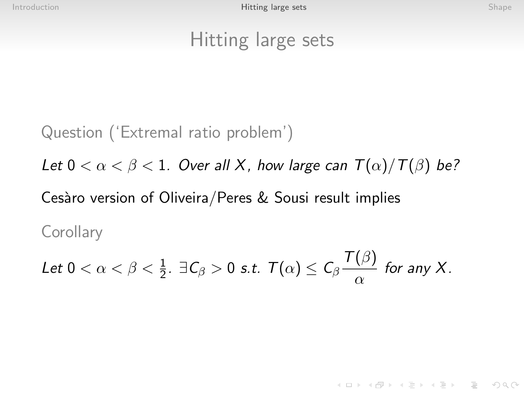### Hitting large sets

Question ('Extremal ratio problem') Let  $0 < \alpha < \beta < 1$ . Over all X, how large can  $T(\alpha)/T(\beta)$  be? Cesàro version of Oliveira/Peres & Sousi result implies **Corollary**  $T(\Omega)$ 

Let 
$$
0 < \alpha < \beta < \frac{1}{2}
$$
.  $\exists C_{\beta} > 0$  s.t.  $T(\alpha) \le C_{\beta} \frac{I(\beta)}{\alpha}$  for any X.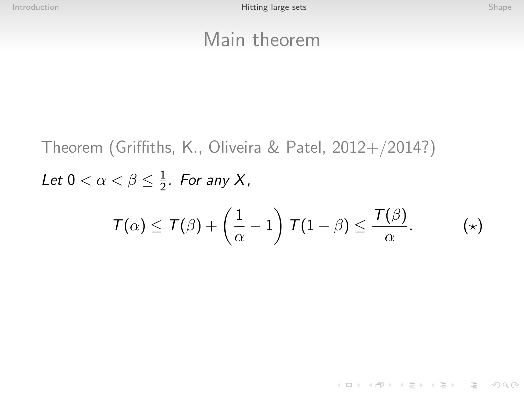KEEK (FER KER EI KORA)

### Main theorem

Theorem (Griffiths, K., Oliveira & Patel, 2012+/2014?) Let  $0 < \alpha < \beta \leq \frac{1}{2}$  $\frac{1}{2}$ . For any X,  $T(\alpha) \leq T(\beta) + \left(\frac{1}{\alpha}\right)$  $\left(\frac{1}{\alpha}-1\right)\, {\cal T}(1-\beta) \le \frac{{\cal T}(\beta)}{\alpha}$ α  $(\star)$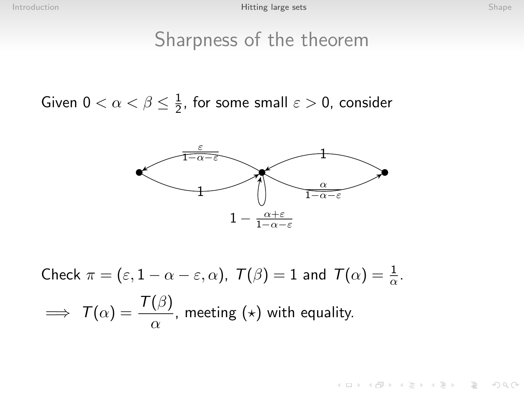### Sharpness of the theorem

Given  $0 < \alpha < \beta \leq \frac{1}{2}$  $\frac{1}{2}$ , for some small  $\varepsilon > 0$ , consider



Check 
$$
\pi = (\varepsilon, 1 - \alpha - \varepsilon, \alpha)
$$
,  $T(\beta) = 1$  and  $T(\alpha) = \frac{1}{\alpha}$ .  
\n $\implies T(\alpha) = \frac{T(\beta)}{\alpha}$ , meeting ( $\star$ ) with equality.

K ロ ▶ K 레 ▶ K 코 ▶ K 코 ▶ - 코 - Y 9 Q 0\*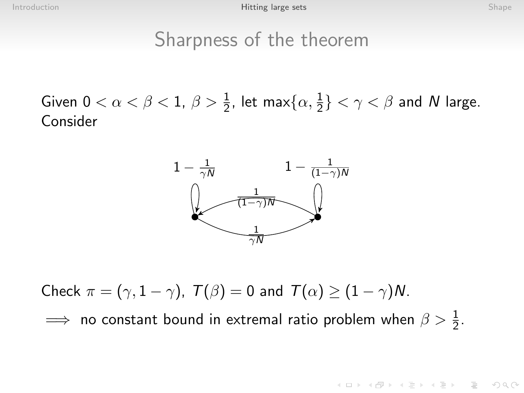### Sharpness of the theorem

Given  $0 < \alpha < \beta < 1$ ,  $\beta > \frac{1}{2}$ , let max $\{\alpha, \frac{1}{2}\} < \gamma < \beta$  and N large. Consider



Check  $\pi = (\gamma, 1 - \gamma)$ ,  $T(\beta) = 0$  and  $T(\alpha) > (1 - \gamma)N$ .

 $\implies$  no constant bound in extremal ratio problem when  $\beta > \frac{1}{2}$ .

KEEK (FER KER EI KORA)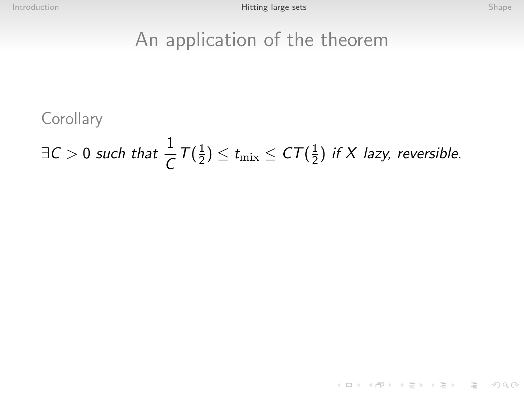K ロ ▶ K 레 ▶ K 코 ▶ K 코 ▶ - 코 - Y 9 Q 0\*

### An application of the theorem

**Corollary** 

 $\exists C>0$  such that  $\frac{1}{C}T(\frac{1}{2})$  $(\frac{1}{2}) \leq t_{\text{mix}} \leq \text{CT}(\frac{1}{2})$  $\frac{1}{2}$ ) if X lazy, reversible.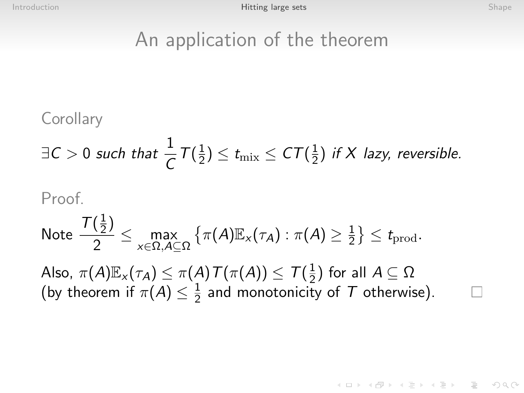KEEK (FER KER EI KORA)

### An application of the theorem

**Corollary** 

$$
\exists C > 0 \text{ such that } \frac{1}{C} T(\frac{1}{2}) \le t_{\text{mix}} \le CT(\frac{1}{2}) \text{ if } X \text{ lazy, reversible.}
$$

### Proof.

Note 
$$
\frac{\mathcal{T}(\frac{1}{2})}{2} \le \max_{x \in \Omega, A \subseteq \Omega} \left\{ \pi(A) \mathbb{E}_x(\tau_A) : \pi(A) \ge \frac{1}{2} \right\} \le t_{\text{prod}}.
$$

Also,  $\pi(A)\mathbb{E}_{\times}(\tau_A)\leq \pi(A)\, \mathcal{T}(\pi(A))\leq \, \mathcal{T}(\frac{1}{2})$  $\frac{1}{2}$ ) for all  $A \subseteq \Omega$ (by theorem if  $\pi(A) \leq \frac{1}{2}$  $\frac{1}{2}$  and monotonicity of  $T$  otherwise).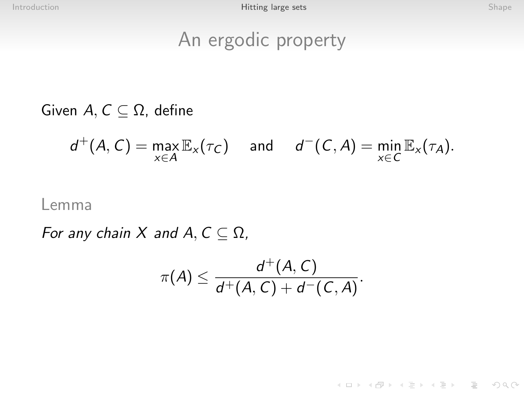### An ergodic property

Given  $A, C \subseteq \Omega$ , define

$$
d^+(A, C) = \max_{x \in A} \mathbb{E}_x(\tau_C) \quad \text{and} \quad d^-(C, A) = \min_{x \in C} \mathbb{E}_x(\tau_A).
$$

### Lemma

For any chain X and  $A, C \subseteq \Omega$ ,

$$
\pi(A) \leq \frac{d^+(A, C)}{d^+(A, C) + d^-(C, A)}.
$$

イロト イ母 トイミト イミト ニヨー りんぐ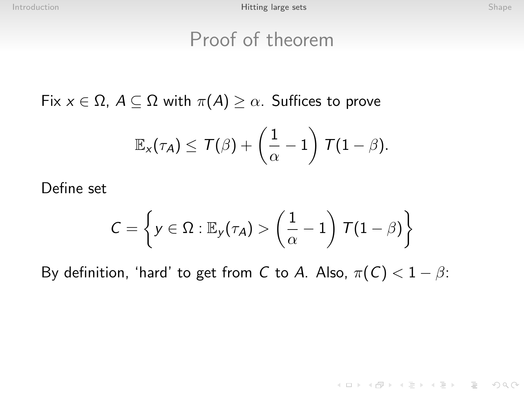### Proof of theorem

Fix  $x \in \Omega$ ,  $A \subseteq \Omega$  with  $\pi(A) \geq \alpha$ . Suffices to prove

$$
\mathbb{E}_{\mathsf{x}}(\tau_{\mathcal{A}}) \leq \mathcal{T}(\beta) + \left(\frac{1}{\alpha} - 1\right) \mathcal{T}(1-\beta).
$$

Define set

$$
C = \left\{ y \in \Omega : \mathbb{E}_y(\tau_A) > \left( \frac{1}{\alpha} - 1 \right) \mathcal{T} (1 - \beta) \right\}
$$

By definition, 'hard' to get from C to A. Also,  $\pi(C) < 1 - \beta$ :

K ロ > K 레 > K 코 > K 코 > - 코 - Y Q Q Q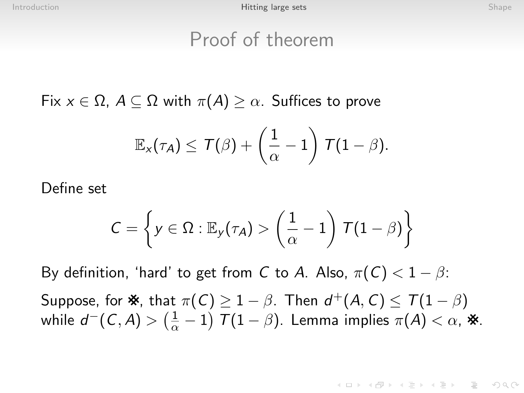### Proof of theorem

Fix  $x \in \Omega$ ,  $A \subseteq \Omega$  with  $\pi(A) \geq \alpha$ . Suffices to prove

$$
\mathbb{E}_{\mathsf{x}}(\tau_{\mathsf{A}}) \leq \mathcal{T}(\beta) + \left(\frac{1}{\alpha} - 1\right) \mathcal{T} (1-\beta).
$$

Define set

$$
C = \left\{ y \in \Omega : \mathbb{E}_y(\tau_A) > \left( \frac{1}{\alpha} - 1 \right) \mathcal{T} (1 - \beta) \right\}
$$

By definition, 'hard' to get from C to A. Also,  $\pi(C) < 1 - \beta$ : Suppose, for  $\mathbf{\hat{x}}$ , that  $\pi(C) \geq 1 - \beta$ . Then  $d^+(A, C) \leq T(1 - \beta)$ while  $d^-(\mathcal{C},\mathcal{A})>(\frac{1}{\alpha}-1)$   $\mathcal{T}(1-\beta).$  Lemma implies  $\pi(\mathcal{A})<\alpha,$   $\divideontimes$ .

KEEK (FER KERKEN AGO)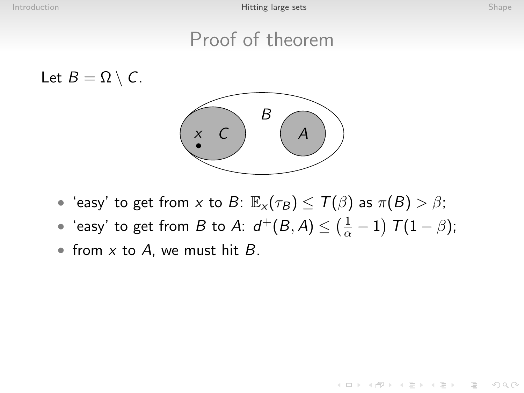**KED KARD KED KED E YOUR** 

### Proof of theorem

Let  $B = \Omega \setminus C$ .



- 'easy' to get from x to B:  $\mathbb{E}_{x}(\tau_B) \leq T(\beta)$  as  $\pi(B) > \beta$ ;
- 'easy' to get from  $B$  to  $A$ :  $d^+(B,A) \leq \left(\frac{1}{\alpha}-1\right)$   $\mathcal{T}(1-\beta)$ ;
- from  $x$  to  $A$ , we must hit  $B$ .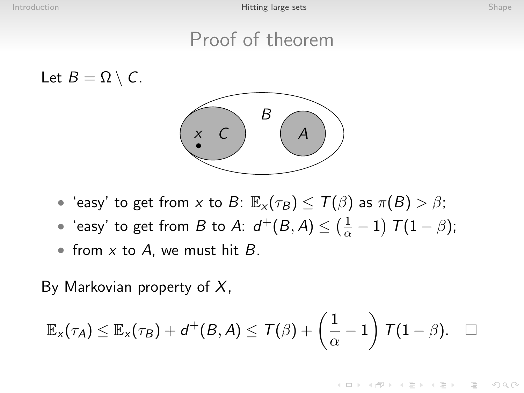KEEK (FER KERKEN AGO)

### Proof of theorem

Let  $B = \Omega \setminus C$ .



- 'easy' to get from x to B:  $\mathbb{E}_{x}(\tau_B) \leq T(\beta)$  as  $\pi(B) > \beta$ ;
- 'easy' to get from  $B$  to  $A$ :  $d^+(B,A) \leq \left(\frac{1}{\alpha}-1\right)$   $\mathcal{T}(1-\beta)$ ;
- from  $x$  to  $A$ , we must hit  $B$ .

By Markovian property of  $X$ ,

$$
\mathbb{E}_x(\tau_A) \leq \mathbb{E}_x(\tau_B) + d^+(B,A) \leq \mathcal{T}(\beta) + \left(\frac{1}{\alpha} - 1\right) \mathcal{T}(1-\beta). \quad \Box
$$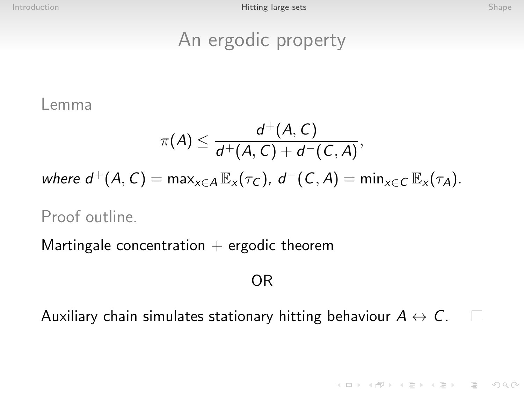### An ergodic property

Lemma

$$
\pi(A)\leq \frac{d^+(A,C)}{d^+(A,C)+d^-(C,A)},
$$

where  $d^+(A, C) = \max_{x \in A} \mathbb{E}_x(\tau_C)$ ,  $d^-(C, A) = \min_{x \in C} \mathbb{E}_x(\tau_A)$ .

Proof outline.

Martingale concentration  $+$  ergodic theorem

### OR

Auxiliary chain simulates stationary hitting behaviour  $A \leftrightarrow C$ .  $\Box$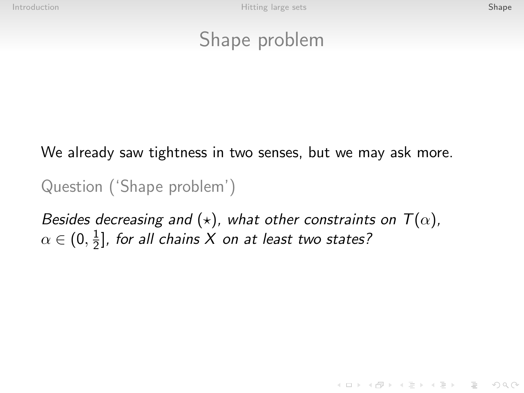### Shape problem

We already saw tightness in two senses, but we may ask more.

Question ('Shape problem')

<span id="page-25-0"></span>Besides decreasing and  $(\star)$ , what other constraints on  $T(\alpha)$ ,  $\alpha\in(0,\frac{1}{2}$  $\frac{1}{2}$ ], for all chains X on at least two states?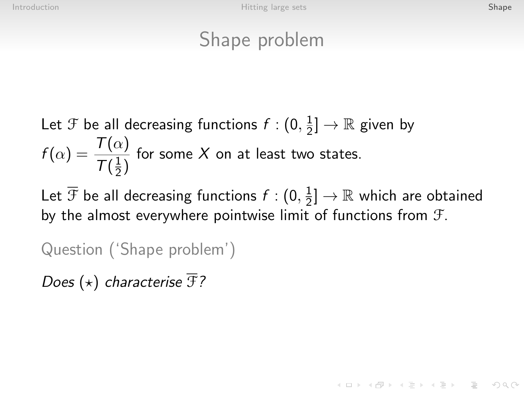# Shape problem

Let 
$$
\mathcal{F}
$$
 be all decreasing functions  $f : (0, \frac{1}{2}] \to \mathbb{R}$  given by  

$$
f(\alpha) = \frac{T(\alpha)}{T(\frac{1}{2})}
$$
 for some X on at least two states.

Let  $\overline{\mathcal{F}}$  be all decreasing functions  $f: (0, \frac{1}{2})$  $\frac{1}{2}]\rightarrow\mathbb{R}$  which are obtained by the almost everywhere pointwise limit of functions from F.

Question ('Shape problem')

Does  $(\star)$  characterise  $\overline{\mathcal{F}}$ ?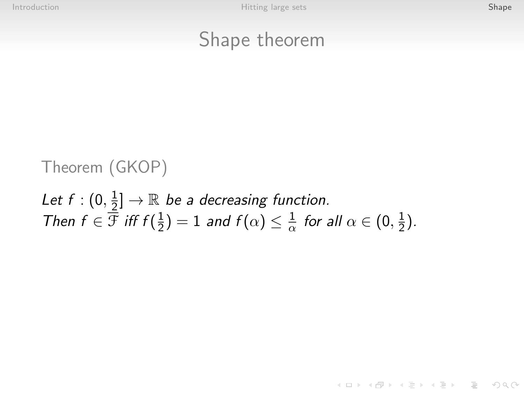### Shape theorem

### Theorem (GKOP)

### Let  $f: (0, \frac{1}{2})$  $\frac{1}{2}]\rightarrow\mathbb{R}$  be a decreasing function. Then  $f \in \overline{\mathcal{F}}$  iff  $f(\frac{1}{2})$  $(\frac{1}{2})=1$  and  $f(\alpha)\leq \frac{1}{\alpha}$  $\frac{1}{\alpha}$  for all  $\alpha \in (0, \frac{1}{2})$  $\frac{1}{2}$ ).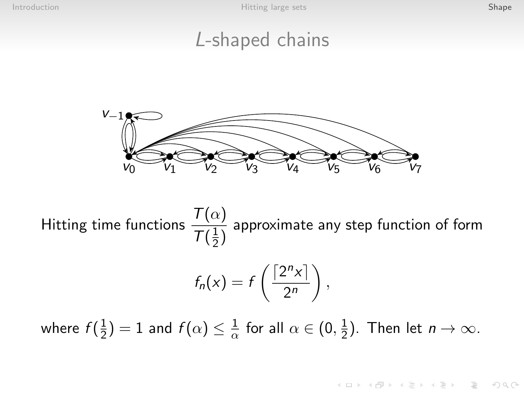### L-shaped chains



Hitting time functions  $\frac{\mathcal{T}(\alpha)}{\mathcal{T}(\alpha)}$  $T(\frac{1}{2})$  $rac{1}{2}$ approximate any step function of form

$$
f_n(x) = f\left(\frac{\lceil 2^n x \rceil}{2^n}\right),
$$

where  $f(\frac{1}{2})$  $(\frac{1}{2})=1$  and  $f(\alpha)\leq \frac{1}{\alpha}$  $\frac{1}{\alpha}$  for all  $\alpha \in (0, \frac{1}{2})$  $(\frac{1}{2})$ . Then let  $n \to \infty$ .

**KORK EXTERNE PROVIDE**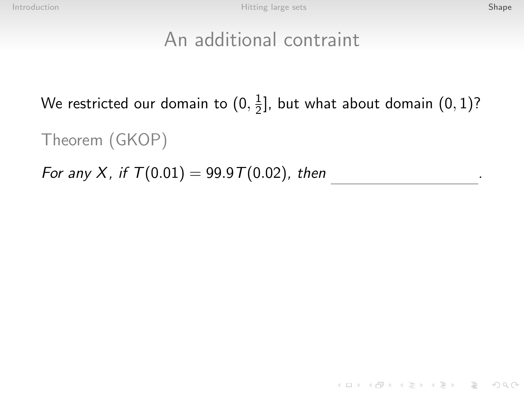.

K ロ ▶ K 레 ▶ K 코 ▶ K 코 ▶ - 코 - YO Q @

### An additional contraint

We restricted our domain to  $(0,\frac{1}{2})$  $\frac{1}{2}$ ], but what about domain  $(0,1)$ ?

Theorem (GKOP)

For any X, if  $T(0.01) = 99.9 T(0.02)$ , then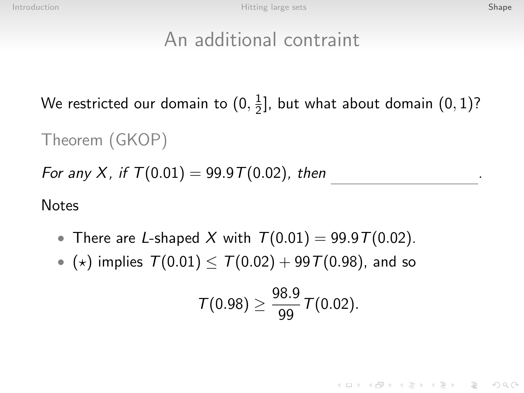.

### An additional contraint

We restricted our domain to  $(0,\frac{1}{2})$  $\frac{1}{2}$ ], but what about domain  $(0,1)$ ?

Theorem (GKOP)

For any X, if  $T(0.01) = 99.9 T(0.02)$ , then

**Notes** 

- There are L-shaped X with  $T(0.01) = 99.9T(0.02)$ .
- ( $\star$ ) implies  $T(0.01) \leq T(0.02) + 99T(0.98)$ , and so

$$
\mathcal{T}(0.98) \geq \frac{98.9}{99} \mathcal{T}(0.02).
$$

KEEK (FER KERKEN AGO)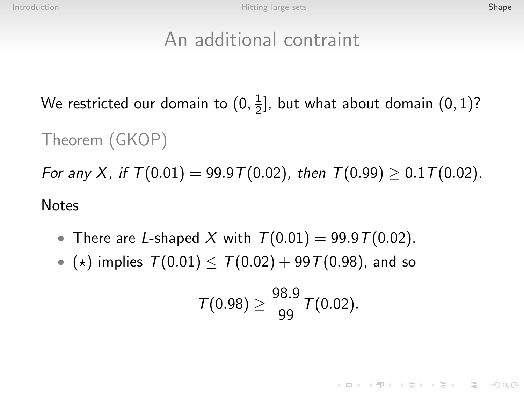## An additional contraint

We restricted our domain to  $(0,\frac{1}{2})$  $\frac{1}{2}$ ], but what about domain  $(0,1)$ ?

Theorem (GKOP)

For any X, if  $T(0.01) = 99.9T(0.02)$ , then  $T(0.99) \ge 0.1T(0.02)$ . Notes

- There are L-shaped X with  $T(0.01) = 99.9T(0.02)$ .
- ( $\star$ ) implies  $T(0.01) \leq T(0.02) + 99T(0.98)$ , and so

$$
\mathcal{T}(0.98) \geq \frac{98.9}{99} \, \mathcal{T}(0.02).
$$